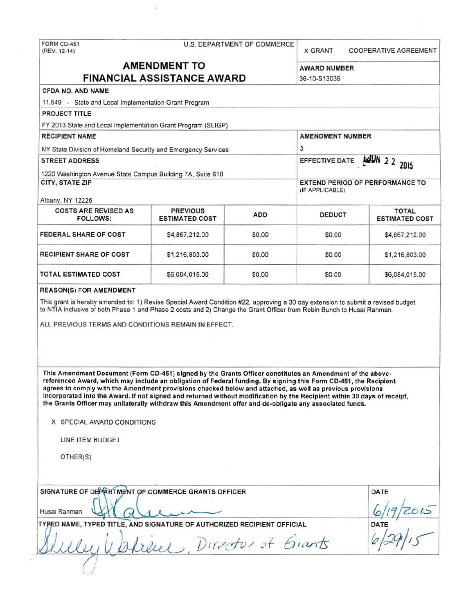FORM CD-451 U.S. DEPARTMENT OF COMMERCE (REV. 12-14) X GRANT COOPERATIVE AGREEMENT **AMENDMENT TO** AWARD NUMBER **FINANCIAL ASSISTANCE AWARD** 36-10-S13036 CFDA NO. AND NAME 11.549 - State and Local Implementation Grant Program PROJECT TITLE FY 2013 State and Local Implementation Grant Program (SLIGP) RECIPIENT NAME AMENOMENT NUMBER NY State Division of Homeland Security and Emergency Services 3 STREET ADDRESS EFFECTIVE DATE ... 1220 Washington Avenue State Campus Building 7A, Suite 610 CITY, STATE ZIP EXTEND PERIOD OF PERFORMANCE TO (IF APPLICABLE) Albany, NY 12226 COSTS ARE REVISED AS PREVIOUS ADD DEDUCT TOTAL TOTAL TOTAL TOTAL FOLLOWS: ESTIMATED COST ADD DEDUCT ESTIMATED COST FEDERAL SHARE OF COST \$4,867,212.00 \$0.00 \$0.00 \$4.867,212.00 RECIPIENT SHARE OF COST | \$1,216,803.00 | \$0.00 \$0.00 \$0.00 \$1,216,803.00 TOTAL ESTIMATED COST \$6,084,015.00 \$0.00 \$0.00 \$6,084,015.00 REASON(S) FOR AMENDMENT This grant is hereby amended to: 1) Revise Special Award Condition #22, approving a 30 day extension to submit a revised budget to NTIA inclusive of both Phase 1 and Phase 2 costs and 2) Change the Grant Officer from Robin Bunch to Husai Rahman. ALL PREVIOUS TERMS AND CONDITIONS REMAIN IN EFFECT. This Amendment Document (Form CD-451) signed by the Grants Officer constitutes an Amendment of the abovereferenced Award, which may include an obligation of Federal funding. By signing this Form CD-451, the Recipient agrees to comply with the Amendment provisions checked below and attached, as well as previous provisions incorporated into the Award. If not signed and returned without modification by the Recipient within 30 days of receipt, the Grants Officer may unilaterally withdraw this Amendment offer and de-obligate any associated funds. X SPECIAL AWARD CONDITIONS LINE ITEM BUDGET OTHER(S) SIGNATURE OF DEPARTMENT OF COMMERCE GRANTS OFFICER DATE Husai Rahman Q \...1 J. ....\_/'- ...- fo/i r~ TY <sup>D</sup>NAME, TYPED TITLUND SIGNATURE OF AUTHORIZED RECIPIENT OFFI~ AL DATE

'./

 $Direct$ , *Director* of Grants *( /*